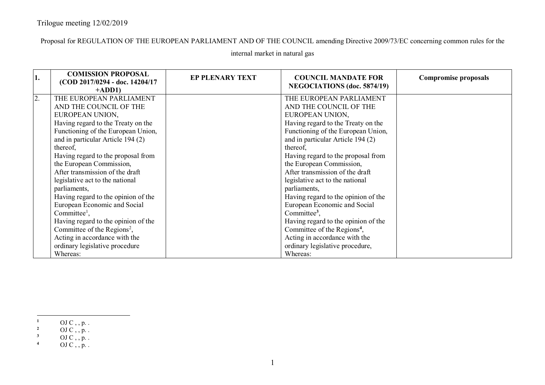Proposal for REGULATION OF THE EUROPEAN PARLIAMENT AND OF THE COUNCIL amending Directive 2009/73/EC concerning common rules for the

| 1. | <b>COMISSION PROPOSAL</b><br>(COD 2017/0294 - doc. 14204/17)<br>$+ADD1$                                                                                                                                                                                                                                                                                                                                                                                                                                                                                                         | <b>EP PLENARY TEXT</b> | <b>COUNCIL MANDATE FOR</b><br><b>NEGOCIATIONS</b> (doc. 5874/19)                                                                                                                                                                                                                                                                                                                                                                                                                                                                                                                | <b>Compromise proposals</b> |
|----|---------------------------------------------------------------------------------------------------------------------------------------------------------------------------------------------------------------------------------------------------------------------------------------------------------------------------------------------------------------------------------------------------------------------------------------------------------------------------------------------------------------------------------------------------------------------------------|------------------------|---------------------------------------------------------------------------------------------------------------------------------------------------------------------------------------------------------------------------------------------------------------------------------------------------------------------------------------------------------------------------------------------------------------------------------------------------------------------------------------------------------------------------------------------------------------------------------|-----------------------------|
| 2. | THE EUROPEAN PARLIAMENT<br>AND THE COUNCIL OF THE<br>EUROPEAN UNION,<br>Having regard to the Treaty on the<br>Functioning of the European Union,<br>and in particular Article 194 (2)<br>thereof,<br>Having regard to the proposal from<br>the European Commission,<br>After transmission of the draft<br>legislative act to the national<br>parliaments,<br>Having regard to the opinion of the<br>European Economic and Social<br>Committee <sup>1</sup> ,<br>Having regard to the opinion of the<br>Committee of the Regions <sup>2</sup> ,<br>Acting in accordance with the |                        | THE EUROPEAN PARLIAMENT<br>AND THE COUNCIL OF THE<br>EUROPEAN UNION,<br>Having regard to the Treaty on the<br>Functioning of the European Union,<br>and in particular Article 194 (2)<br>thereof,<br>Having regard to the proposal from<br>the European Commission,<br>After transmission of the draft<br>legislative act to the national<br>parliaments,<br>Having regard to the opinion of the<br>European Economic and Social<br>Committee <sup>3</sup> ,<br>Having regard to the opinion of the<br>Committee of the Regions <sup>4</sup> ,<br>Acting in accordance with the |                             |
|    | ordinary legislative procedure<br>Whereas:                                                                                                                                                                                                                                                                                                                                                                                                                                                                                                                                      |                        | ordinary legislative procedure,<br>Whereas:                                                                                                                                                                                                                                                                                                                                                                                                                                                                                                                                     |                             |

## internal market in natural gas

**<sup>1</sup>** OJ C , , p. .<br> **2** OJ C , , p. .

<sup>3</sup> OJ C , , p. .<br>4 OJ C , , p. .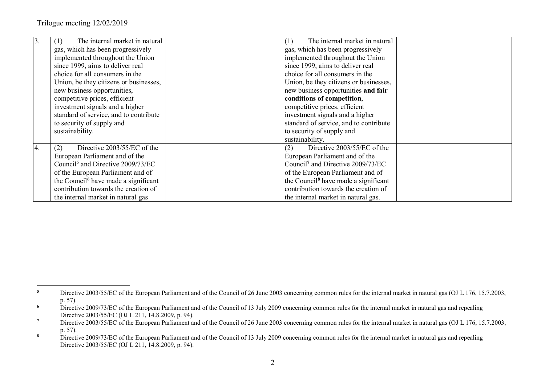| $\overline{3}$ . | The internal market in natural<br>(1)            | The internal market in natural<br>(1)            |
|------------------|--------------------------------------------------|--------------------------------------------------|
|                  | gas, which has been progressively                | gas, which has been progressively                |
|                  | implemented throughout the Union                 | implemented throughout the Union                 |
|                  | since 1999, aims to deliver real                 | since 1999, aims to deliver real                 |
|                  | choice for all consumers in the                  | choice for all consumers in the                  |
|                  | Union, be they citizens or businesses,           | Union, be they citizens or businesses,           |
|                  | new business opportunities,                      | new business opportunities and fair              |
|                  | competitive prices, efficient                    | conditions of competition,                       |
|                  | investment signals and a higher                  | competitive prices, efficient                    |
|                  | standard of service, and to contribute           | investment signals and a higher                  |
|                  | to security of supply and                        | standard of service, and to contribute           |
|                  | sustainability.                                  | to security of supply and                        |
|                  |                                                  | sustainability.                                  |
| 4.               | Directive 2003/55/EC of the<br>(2)               | Directive 2003/55/EC of the<br>(2)               |
|                  | European Parliament and of the                   | European Parliament and of the                   |
|                  | Council <sup>5</sup> and Directive 2009/73/EC    | Council <sup>7</sup> and Directive 2009/73/EC    |
|                  | of the European Parliament and of                | of the European Parliament and of                |
|                  | the Council <sup>6</sup> have made a significant | the Council <sup>8</sup> have made a significant |
|                  | contribution towards the creation of             | contribution towards the creation of             |
|                  | the internal market in natural gas               | the internal market in natural gas.              |

<sup>&</sup>lt;sup>5</sup> Directive 2003/55/EC of the European Parliament and of the Council of 26 June 2003 concerning common rules for the internal market in natural gas (OJ L 176, 15.7.2003, p. 57).

<sup>&</sup>lt;sup>6</sup> Directive 2009/73/EC of the European Parliament and of the Council of 13 July 2009 concerning common rules for the internal market in natural gas and repealing Directive 2003/55/EC (OJ L 211, 14.8.2009, p. 94).

<sup>&</sup>lt;sup>7</sup> Directive 2003/55/EC of the European Parliament and of the Council of 26 June 2003 concerning common rules for the internal market in natural gas (OJ L 176, 15.7.2003, p. 57).

<sup>&</sup>lt;sup>8</sup> Directive 2009/73/EC of the European Parliament and of the Council of 13 July 2009 concerning common rules for the internal market in natural gas and repealing Directive 2003/55/EC (OJ L 211, 14.8.2009, p. 94).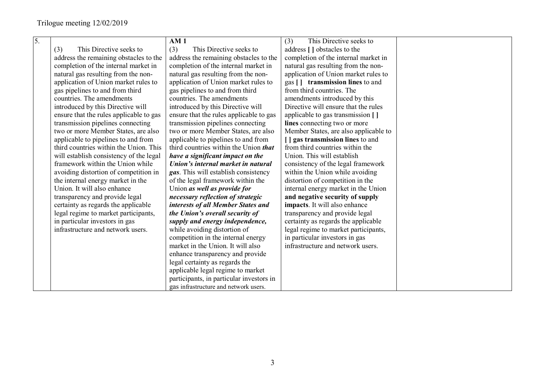| 5. |                                         | AM1                                      | (3)<br>This Directive seeks to        |  |
|----|-----------------------------------------|------------------------------------------|---------------------------------------|--|
|    | This Directive seeks to<br>(3)          | (3)<br>This Directive seeks to           | address [] obstacles to the           |  |
|    | address the remaining obstacles to the  | address the remaining obstacles to the   | completion of the internal market in  |  |
|    | completion of the internal market in    | completion of the internal market in     | natural gas resulting from the non-   |  |
|    | natural gas resulting from the non-     | natural gas resulting from the non-      | application of Union market rules to  |  |
|    | application of Union market rules to    | application of Union market rules to     | gas [] transmission lines to and      |  |
|    | gas pipelines to and from third         | gas pipelines to and from third          | from third countries. The             |  |
|    | countries. The amendments               | countries. The amendments                | amendments introduced by this         |  |
|    | introduced by this Directive will       | introduced by this Directive will        | Directive will ensure that the rules  |  |
|    | ensure that the rules applicable to gas | ensure that the rules applicable to gas  | applicable to gas transmission []     |  |
|    | transmission pipelines connecting       | transmission pipelines connecting        | lines connecting two or more          |  |
|    | two or more Member States, are also     | two or more Member States, are also      | Member States, are also applicable to |  |
|    | applicable to pipelines to and from     | applicable to pipelines to and from      | [ ] gas transmission lines to and     |  |
|    | third countries within the Union. This  | third countries within the Union that    | from third countries within the       |  |
|    | will establish consistency of the legal | have a significant impact on the         | Union. This will establish            |  |
|    | framework within the Union while        | Union's internal market in natural       | consistency of the legal framework    |  |
|    | avoiding distortion of competition in   | gas. This will establish consistency     | within the Union while avoiding       |  |
|    | the internal energy market in the       | of the legal framework within the        | distortion of competition in the      |  |
|    | Union. It will also enhance             | Union as well as provide for             | internal energy market in the Union   |  |
|    | transparency and provide legal          | necessary reflection of strategic        | and negative security of supply       |  |
|    | certainty as regards the applicable     | interests of all Member States and       | impacts. It will also enhance         |  |
|    | legal regime to market participants,    | the Union's overall security of          | transparency and provide legal        |  |
|    | in particular investors in gas          | supply and energy independence,          | certainty as regards the applicable   |  |
|    | infrastructure and network users.       | while avoiding distortion of             | legal regime to market participants,  |  |
|    |                                         | competition in the internal energy       | in particular investors in gas        |  |
|    |                                         | market in the Union. It will also        | infrastructure and network users.     |  |
|    |                                         | enhance transparency and provide         |                                       |  |
|    |                                         | legal certainty as regards the           |                                       |  |
|    |                                         | applicable legal regime to market        |                                       |  |
|    |                                         | participants, in particular investors in |                                       |  |
|    |                                         | gas infrastructure and network users.    |                                       |  |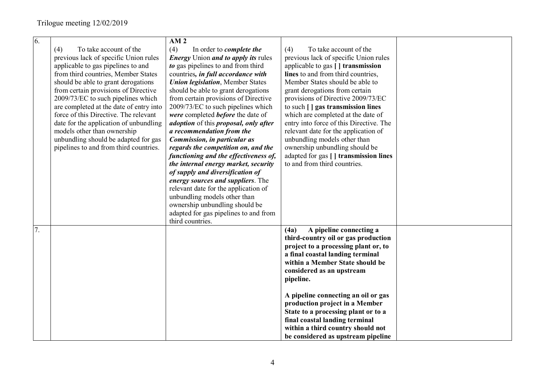| 6. |                                         | AM <sub>2</sub>                                             |                                         |  |
|----|-----------------------------------------|-------------------------------------------------------------|-----------------------------------------|--|
|    | To take account of the<br>(4)           | (4)<br>In order to <i>complete the</i>                      | (4)<br>To take account of the           |  |
|    | previous lack of specific Union rules   | <b>Energy</b> Union <i>and to apply its</i> rules           | previous lack of specific Union rules   |  |
|    | applicable to gas pipelines to and      | to gas pipelines to and from third                          | applicable to gas [] transmission       |  |
|    | from third countries, Member States     | countries, in full accordance with                          | lines to and from third countries,      |  |
|    | should be able to grant derogations     | <b>Union legislation</b> , Member States                    | Member States should be able to         |  |
|    | from certain provisions of Directive    | should be able to grant derogations                         | grant derogations from certain          |  |
|    | 2009/73/EC to such pipelines which      | from certain provisions of Directive                        | provisions of Directive 2009/73/EC      |  |
|    | are completed at the date of entry into | 2009/73/EC to such pipelines which                          | to such [] gas transmission lines       |  |
|    | force of this Directive. The relevant   | were completed <b>before</b> the date of                    | which are completed at the date of      |  |
|    | date for the application of unbundling  | <i>adoption</i> of this <i>proposal</i> , <i>only after</i> | entry into force of this Directive. The |  |
|    | models other than ownership             | a recommendation from the                                   | relevant date for the application of    |  |
|    | unbundling should be adapted for gas    | Commission, in particular as                                | unbundling models other than            |  |
|    | pipelines to and from third countries.  | regards the competition on, and the                         | ownership unbundling should be          |  |
|    |                                         | functioning and the effectiveness of,                       | adapted for gas [] transmission lines   |  |
|    |                                         | the internal energy market, security                        | to and from third countries.            |  |
|    |                                         | of supply and diversification of                            |                                         |  |
|    |                                         | energy sources and suppliers. The                           |                                         |  |
|    |                                         | relevant date for the application of                        |                                         |  |
|    |                                         | unbundling models other than                                |                                         |  |
|    |                                         | ownership unbundling should be                              |                                         |  |
|    |                                         | adapted for gas pipelines to and from                       |                                         |  |
|    |                                         | third countries.                                            |                                         |  |
| 7. |                                         |                                                             | A pipeline connecting a<br>(4a)         |  |
|    |                                         |                                                             | third-country oil or gas production     |  |
|    |                                         |                                                             | project to a processing plant or, to    |  |
|    |                                         |                                                             | a final coastal landing terminal        |  |
|    |                                         |                                                             | within a Member State should be         |  |
|    |                                         |                                                             | considered as an upstream               |  |
|    |                                         |                                                             | pipeline.                               |  |
|    |                                         |                                                             |                                         |  |
|    |                                         |                                                             | A pipeline connecting an oil or gas     |  |
|    |                                         |                                                             | production project in a Member          |  |
|    |                                         |                                                             | State to a processing plant or to a     |  |
|    |                                         |                                                             | final coastal landing terminal          |  |
|    |                                         |                                                             | within a third country should not       |  |
|    |                                         |                                                             | be considered as upstream pipeline      |  |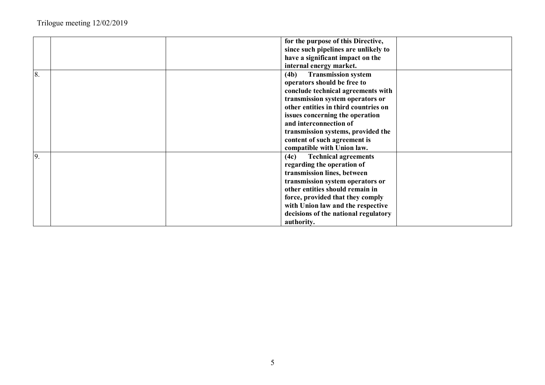|    | for the purpose of this Directive,   |
|----|--------------------------------------|
|    | since such pipelines are unlikely to |
|    | have a significant impact on the     |
|    | internal energy market.              |
| 8. | <b>Transmission system</b><br>(4b)   |
|    | operators should be free to          |
|    | conclude technical agreements with   |
|    | transmission system operators or     |
|    | other entities in third countries on |
|    | issues concerning the operation      |
|    | and interconnection of               |
|    | transmission systems, provided the   |
|    | content of such agreement is         |
|    | compatible with Union law.           |
| 9. | <b>Technical agreements</b><br>(4c)  |
|    | regarding the operation of           |
|    | transmission lines, between          |
|    | transmission system operators or     |
|    | other entities should remain in      |
|    | force, provided that they comply     |
|    | with Union law and the respective    |
|    | decisions of the national regulatory |
|    | authority.                           |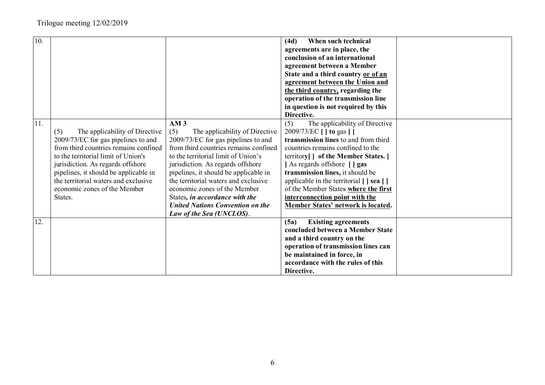| 10. |                                                                                                                                                                                                                                                                                                                               |                                                                                                                                                                                                                                                                                                                                                                                                                                                | When such technical<br>(4d)<br>agreements are in place, the<br>conclusion of an international<br>agreement between a Member<br>State and a third country or of an                                                                                                                                                                                                                                                              |  |
|-----|-------------------------------------------------------------------------------------------------------------------------------------------------------------------------------------------------------------------------------------------------------------------------------------------------------------------------------|------------------------------------------------------------------------------------------------------------------------------------------------------------------------------------------------------------------------------------------------------------------------------------------------------------------------------------------------------------------------------------------------------------------------------------------------|--------------------------------------------------------------------------------------------------------------------------------------------------------------------------------------------------------------------------------------------------------------------------------------------------------------------------------------------------------------------------------------------------------------------------------|--|
|     |                                                                                                                                                                                                                                                                                                                               |                                                                                                                                                                                                                                                                                                                                                                                                                                                | agreement between the Union and<br>the third country, regarding the<br>operation of the transmission line<br>in question is not required by this<br>Directive.                                                                                                                                                                                                                                                                 |  |
| 11. | The applicability of Directive<br>(5)<br>2009/73/EC for gas pipelines to and<br>from third countries remains confined<br>to the territorial limit of Union's<br>jurisdiction. As regards offshore<br>pipelines, it should be applicable in<br>the territorial waters and exclusive<br>economic zones of the Member<br>States. | AM <sub>3</sub><br>(5)<br>The applicability of Directive<br>2009/73/EC for gas pipelines to and<br>from third countries remains confined<br>to the territorial limit of Union's<br>jurisdiction. As regards offshore<br>pipelines, it should be applicable in<br>the territorial waters and exclusive<br>economic zones of the Member<br>States, in accordance with the<br><b>United Nations Convention on the</b><br>Law of the Sea (UNCLOS). | (5)<br>The applicability of Directive<br>2009/73/EC [ ] to gas [ ]<br>transmission lines to and from third<br>countries remains confined to the<br>territory[] of the Member States. [<br>As regards offshore [ ] gas<br>transmission lines, it should be<br>applicable in the territorial $[ \ ]$ sea $[ \ ]$<br>of the Member States where the first<br>interconnection point with the<br>Member States' network is located. |  |
| 12. |                                                                                                                                                                                                                                                                                                                               |                                                                                                                                                                                                                                                                                                                                                                                                                                                | (5a)<br><b>Existing agreements</b><br>concluded between a Member State<br>and a third country on the<br>operation of transmission lines can<br>be maintained in force, in<br>accordance with the rules of this<br>Directive.                                                                                                                                                                                                   |  |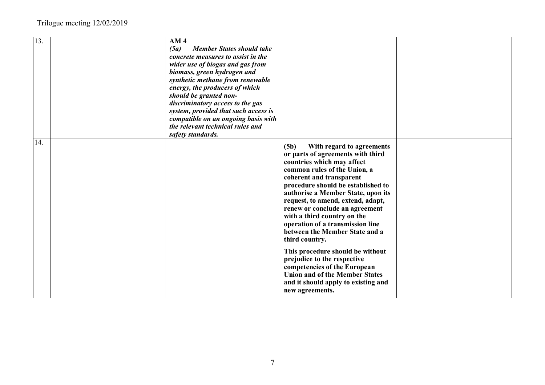| 13. | AM <sub>4</sub><br><b>Member States should take</b><br>(5a)<br>concrete measures to assist in the<br>wider use of biogas and gas from<br>biomass, green hydrogen and<br>synthetic methane from renewable<br>energy, the producers of which<br>should be granted non-<br>discriminatory access to the gas<br>system, provided that such access is<br>compatible on an ongoing basis with<br>the relevant technical rules and<br>safety standards. |                                                                                                                                                                                                                                                                                                                                                                                                                                            |  |
|-----|--------------------------------------------------------------------------------------------------------------------------------------------------------------------------------------------------------------------------------------------------------------------------------------------------------------------------------------------------------------------------------------------------------------------------------------------------|--------------------------------------------------------------------------------------------------------------------------------------------------------------------------------------------------------------------------------------------------------------------------------------------------------------------------------------------------------------------------------------------------------------------------------------------|--|
| 14. |                                                                                                                                                                                                                                                                                                                                                                                                                                                  | (5b)<br>With regard to agreements<br>or parts of agreements with third<br>countries which may affect<br>common rules of the Union, a<br>coherent and transparent<br>procedure should be established to<br>authorise a Member State, upon its<br>request, to amend, extend, adapt,<br>renew or conclude an agreement<br>with a third country on the<br>operation of a transmission line<br>between the Member State and a<br>third country. |  |
|     |                                                                                                                                                                                                                                                                                                                                                                                                                                                  | This procedure should be without<br>prejudice to the respective<br>competencies of the European<br><b>Union and of the Member States</b><br>and it should apply to existing and<br>new agreements.                                                                                                                                                                                                                                         |  |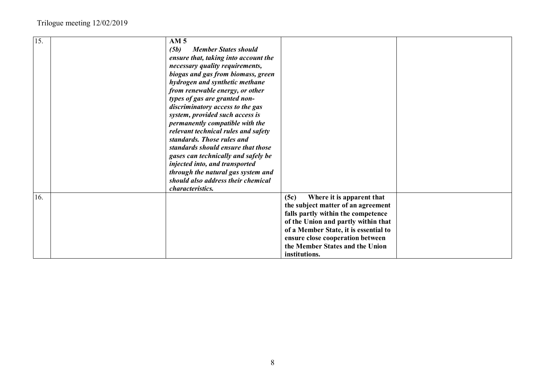| 15. | AM <sub>5</sub><br>(5b)<br><b>Member States should</b><br>ensure that, taking into account the<br>necessary quality requirements,<br>biogas and gas from biomass, green<br>hydrogen and synthetic methane<br>from renewable energy, or other<br>types of gas are granted non-<br>discriminatory access to the gas<br>system, provided such access is<br>permanently compatible with the<br>relevant technical rules and safety<br>standards. Those rules and<br>standards should ensure that those<br>gases can technically and safely be<br>injected into, and transported<br>through the natural gas system and<br>should also address their chemical |                                                                                                                                                                                                                                                                                       |  |
|-----|---------------------------------------------------------------------------------------------------------------------------------------------------------------------------------------------------------------------------------------------------------------------------------------------------------------------------------------------------------------------------------------------------------------------------------------------------------------------------------------------------------------------------------------------------------------------------------------------------------------------------------------------------------|---------------------------------------------------------------------------------------------------------------------------------------------------------------------------------------------------------------------------------------------------------------------------------------|--|
|     | characteristics.                                                                                                                                                                                                                                                                                                                                                                                                                                                                                                                                                                                                                                        |                                                                                                                                                                                                                                                                                       |  |
| 16. |                                                                                                                                                                                                                                                                                                                                                                                                                                                                                                                                                                                                                                                         | (5c)<br>Where it is apparent that<br>the subject matter of an agreement<br>falls partly within the competence<br>of the Union and partly within that<br>of a Member State, it is essential to<br>ensure close cooperation between<br>the Member States and the Union<br>institutions. |  |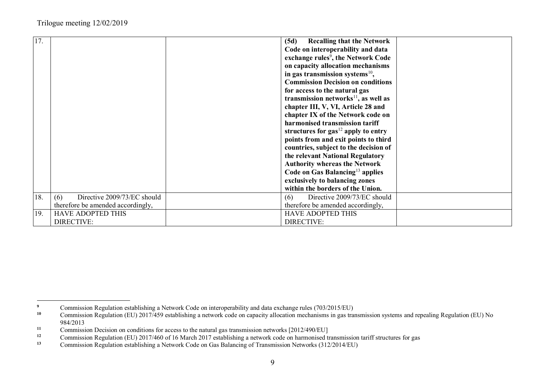| (5d)<br>Code on interoperability and data<br>exchange rules <sup>9</sup> , the Network Code<br>on capacity allocation mechanisms<br>in gas transmission systems $^{10}$ ,<br><b>Commission Decision on conditions</b><br>for access to the natural gas<br>transmission networks $^{11}$ , as well as<br>chapter III, V, VI, Article 28 and<br>chapter IX of the Network code on<br>harmonised transmission tariff<br>structures for $gas^{12}$ apply to entry<br>points from and exit points to third<br>countries, subject to the decision of<br>the relevant National Regulatory<br><b>Authority whereas the Network</b><br>Code on Gas Balancing <sup>13</sup> applies<br>exclusively to balancing zones<br>within the borders of the Union.<br>18.<br>Directive 2009/73/EC should<br>Directive 2009/73/EC should<br>(6)<br>(6)<br>therefore be amended accordingly,<br>therefore be amended accordingly,<br>19.<br><b>HAVE ADOPTED THIS</b><br><b>HAVE ADOPTED THIS</b> |     |                   |                                   |
|-----------------------------------------------------------------------------------------------------------------------------------------------------------------------------------------------------------------------------------------------------------------------------------------------------------------------------------------------------------------------------------------------------------------------------------------------------------------------------------------------------------------------------------------------------------------------------------------------------------------------------------------------------------------------------------------------------------------------------------------------------------------------------------------------------------------------------------------------------------------------------------------------------------------------------------------------------------------------------|-----|-------------------|-----------------------------------|
|                                                                                                                                                                                                                                                                                                                                                                                                                                                                                                                                                                                                                                                                                                                                                                                                                                                                                                                                                                             | 17. |                   | <b>Recalling that the Network</b> |
|                                                                                                                                                                                                                                                                                                                                                                                                                                                                                                                                                                                                                                                                                                                                                                                                                                                                                                                                                                             |     |                   |                                   |
|                                                                                                                                                                                                                                                                                                                                                                                                                                                                                                                                                                                                                                                                                                                                                                                                                                                                                                                                                                             |     |                   |                                   |
|                                                                                                                                                                                                                                                                                                                                                                                                                                                                                                                                                                                                                                                                                                                                                                                                                                                                                                                                                                             |     |                   |                                   |
|                                                                                                                                                                                                                                                                                                                                                                                                                                                                                                                                                                                                                                                                                                                                                                                                                                                                                                                                                                             |     |                   |                                   |
|                                                                                                                                                                                                                                                                                                                                                                                                                                                                                                                                                                                                                                                                                                                                                                                                                                                                                                                                                                             |     |                   |                                   |
|                                                                                                                                                                                                                                                                                                                                                                                                                                                                                                                                                                                                                                                                                                                                                                                                                                                                                                                                                                             |     |                   |                                   |
|                                                                                                                                                                                                                                                                                                                                                                                                                                                                                                                                                                                                                                                                                                                                                                                                                                                                                                                                                                             |     |                   |                                   |
|                                                                                                                                                                                                                                                                                                                                                                                                                                                                                                                                                                                                                                                                                                                                                                                                                                                                                                                                                                             |     |                   |                                   |
|                                                                                                                                                                                                                                                                                                                                                                                                                                                                                                                                                                                                                                                                                                                                                                                                                                                                                                                                                                             |     |                   |                                   |
|                                                                                                                                                                                                                                                                                                                                                                                                                                                                                                                                                                                                                                                                                                                                                                                                                                                                                                                                                                             |     |                   |                                   |
|                                                                                                                                                                                                                                                                                                                                                                                                                                                                                                                                                                                                                                                                                                                                                                                                                                                                                                                                                                             |     |                   |                                   |
|                                                                                                                                                                                                                                                                                                                                                                                                                                                                                                                                                                                                                                                                                                                                                                                                                                                                                                                                                                             |     |                   |                                   |
|                                                                                                                                                                                                                                                                                                                                                                                                                                                                                                                                                                                                                                                                                                                                                                                                                                                                                                                                                                             |     |                   |                                   |
|                                                                                                                                                                                                                                                                                                                                                                                                                                                                                                                                                                                                                                                                                                                                                                                                                                                                                                                                                                             |     |                   |                                   |
|                                                                                                                                                                                                                                                                                                                                                                                                                                                                                                                                                                                                                                                                                                                                                                                                                                                                                                                                                                             |     |                   |                                   |
|                                                                                                                                                                                                                                                                                                                                                                                                                                                                                                                                                                                                                                                                                                                                                                                                                                                                                                                                                                             |     |                   |                                   |
|                                                                                                                                                                                                                                                                                                                                                                                                                                                                                                                                                                                                                                                                                                                                                                                                                                                                                                                                                                             |     |                   |                                   |
|                                                                                                                                                                                                                                                                                                                                                                                                                                                                                                                                                                                                                                                                                                                                                                                                                                                                                                                                                                             |     |                   |                                   |
|                                                                                                                                                                                                                                                                                                                                                                                                                                                                                                                                                                                                                                                                                                                                                                                                                                                                                                                                                                             |     |                   |                                   |
|                                                                                                                                                                                                                                                                                                                                                                                                                                                                                                                                                                                                                                                                                                                                                                                                                                                                                                                                                                             |     |                   |                                   |
|                                                                                                                                                                                                                                                                                                                                                                                                                                                                                                                                                                                                                                                                                                                                                                                                                                                                                                                                                                             |     |                   |                                   |
|                                                                                                                                                                                                                                                                                                                                                                                                                                                                                                                                                                                                                                                                                                                                                                                                                                                                                                                                                                             |     |                   |                                   |
|                                                                                                                                                                                                                                                                                                                                                                                                                                                                                                                                                                                                                                                                                                                                                                                                                                                                                                                                                                             |     | <b>DIRECTIVE:</b> | <b>DIRECTIVE:</b>                 |

<sup>&</sup>lt;sup>9</sup> Commission Regulation establishing a Network Code on interoperability and data exchange rules (703/2015/EU)<br><sup>10</sup> Commission Regulation (EU) 2017/459 establishing a network code on canacity allocation mechanisms in gas

**<sup>10</sup>** Commission Regulation (EU) 2017/459 establishing a network code on capacity allocation mechanisms in gas transmission systems and repealing Regulation (EU) No 984/2013

**<sup>11</sup>** Commission Decision on conditions for access to the natural gas transmission networks [2012/490/EU]

**<sup>12</sup>** Commission Regulation (EU) 2017/460 of 16 March 2017 establishing a network code on harmonised transmission tariff structures for gas

**<sup>13</sup>** Commission Regulation establishing a Network Code on Gas Balancing of Transmission Networks (312/2014/EU)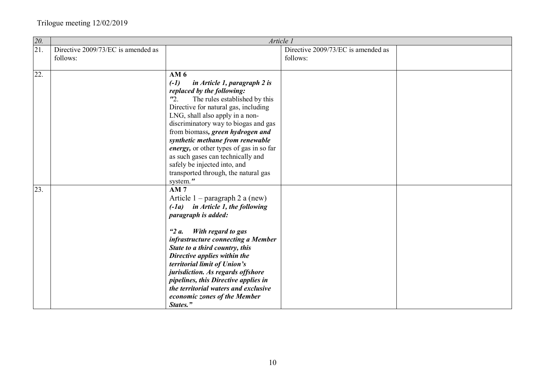| 20.               |                                    | Article 1                                                                                                                                                                                                                                                                                                                                                                                                                                                                 |                                    |  |
|-------------------|------------------------------------|---------------------------------------------------------------------------------------------------------------------------------------------------------------------------------------------------------------------------------------------------------------------------------------------------------------------------------------------------------------------------------------------------------------------------------------------------------------------------|------------------------------------|--|
| $\overline{21}$ . | Directive 2009/73/EC is amended as |                                                                                                                                                                                                                                                                                                                                                                                                                                                                           | Directive 2009/73/EC is amended as |  |
|                   | follows:                           |                                                                                                                                                                                                                                                                                                                                                                                                                                                                           | follows:                           |  |
|                   |                                    |                                                                                                                                                                                                                                                                                                                                                                                                                                                                           |                                    |  |
| 22.               |                                    | AM <sub>6</sub><br>$(-1)$<br>in Article 1, paragraph 2 is<br>replaced by the following:<br>$\mathbf{r}_2$ .<br>The rules established by this<br>Directive for natural gas, including<br>LNG, shall also apply in a non-<br>discriminatory way to biogas and gas<br>from biomass, green hydrogen and<br>synthetic methane from renewable<br>energy, or other types of gas in so far<br>as such gases can technically and<br>safely be injected into, and                   |                                    |  |
|                   |                                    | transported through, the natural gas                                                                                                                                                                                                                                                                                                                                                                                                                                      |                                    |  |
| 23.               |                                    | system."<br>AM <sub>7</sub><br>Article $1$ – paragraph 2 a (new)<br>$(-1a)$ in Article 1, the following<br>paragraph is added:<br>With regard to gas<br>" $2a$ .<br>infrastructure connecting a Member<br>State to a third country, this<br>Directive applies within the<br>territorial limit of Union's<br>jurisdiction. As regards offshore<br>pipelines, this Directive applies in<br>the territorial waters and exclusive<br>economic zones of the Member<br>States." |                                    |  |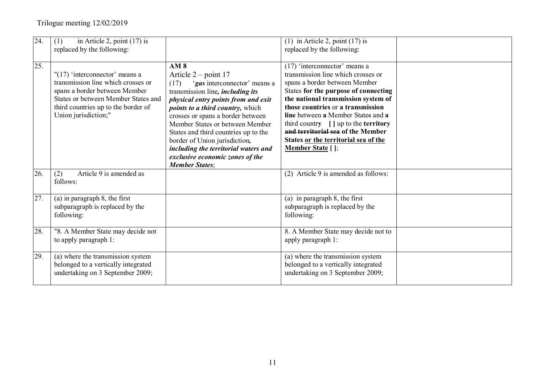| 24. | in Article 2, point $(17)$ is<br>(1)<br>replaced by the following:                                                                                                                                             |                                                                                                                                                                                                                                                                                                                                                                                                                                            | (1) in Article 2, point $(17)$ is<br>replaced by the following:                                                                                                                                                                                                                                                                                                                                                                             |  |
|-----|----------------------------------------------------------------------------------------------------------------------------------------------------------------------------------------------------------------|--------------------------------------------------------------------------------------------------------------------------------------------------------------------------------------------------------------------------------------------------------------------------------------------------------------------------------------------------------------------------------------------------------------------------------------------|---------------------------------------------------------------------------------------------------------------------------------------------------------------------------------------------------------------------------------------------------------------------------------------------------------------------------------------------------------------------------------------------------------------------------------------------|--|
|     |                                                                                                                                                                                                                |                                                                                                                                                                                                                                                                                                                                                                                                                                            |                                                                                                                                                                                                                                                                                                                                                                                                                                             |  |
| 25. | $"$ (17) 'interconnector' means a<br>transmission line which crosses or<br>spans a border between Member<br>States or between Member States and<br>third countries up to the border of<br>Union jurisdiction;" | AM <sub>8</sub><br>Article $2$ – point 17<br>'gas interconnector' means a<br>(17)<br>transmission line, <i>including its</i><br>physical entry points from and exit<br><i>points to a third country, which</i><br>crosses or spans a border between<br>Member States or between Member<br>States and third countries up to the<br>border of Union jurisdiction,<br>including the territorial waters and<br>exclusive economic zones of the | $(17)$ 'interconnector' means a<br>transmission line which crosses or<br>spans a border between Member<br>States for the purpose of connecting<br>the national transmission system of<br>those countries or a transmission<br><b>line</b> between a Member States and a<br>third country $\left[\right]$ up to the <b>territory</b><br>and territorial sea of the Member<br>States or the territorial sea of the<br><b>Member State</b> []; |  |
|     |                                                                                                                                                                                                                | <b>Member States:</b>                                                                                                                                                                                                                                                                                                                                                                                                                      |                                                                                                                                                                                                                                                                                                                                                                                                                                             |  |
| 26. | Article 9 is amended as<br>(2)<br>follows:                                                                                                                                                                     |                                                                                                                                                                                                                                                                                                                                                                                                                                            | (2) Article 9 is amended as follows:                                                                                                                                                                                                                                                                                                                                                                                                        |  |
| 27. | (a) in paragraph 8, the first<br>subparagraph is replaced by the<br>following:                                                                                                                                 |                                                                                                                                                                                                                                                                                                                                                                                                                                            | (a) in paragraph $8$ , the first<br>subparagraph is replaced by the<br>following:                                                                                                                                                                                                                                                                                                                                                           |  |
| 28. | "8. A Member State may decide not<br>to apply paragraph 1:                                                                                                                                                     |                                                                                                                                                                                                                                                                                                                                                                                                                                            | 8. A Member State may decide not to<br>apply paragraph 1:                                                                                                                                                                                                                                                                                                                                                                                   |  |
| 29. | (a) where the transmission system<br>belonged to a vertically integrated<br>undertaking on 3 September 2009;                                                                                                   |                                                                                                                                                                                                                                                                                                                                                                                                                                            | (a) where the transmission system<br>belonged to a vertically integrated<br>undertaking on 3 September 2009;                                                                                                                                                                                                                                                                                                                                |  |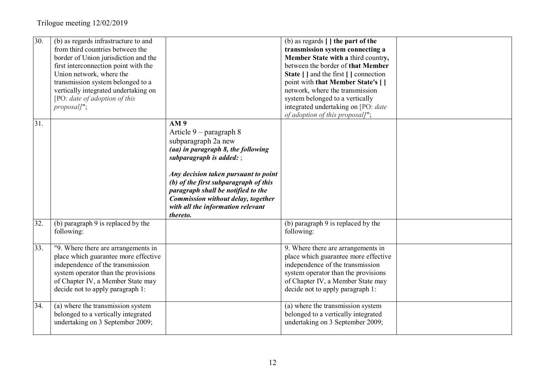| 30. | (b) as regards infrastructure to and<br>from third countries between the<br>border of Union jurisdiction and the<br>first interconnection point with the<br>Union network, where the<br>transmission system belonged to a<br>vertically integrated undertaking on<br>[PO: date of adoption of this<br>proposal]"; |                                                                                                                                                                                                                                                                                                                                                | (b) as regards $\lceil \cdot \rceil$ the part of the<br>transmission system connecting a<br>Member State with a third country,<br>between the border of that Member<br>State [ ] and the first [ ] connection<br>point with that Member State's []<br>network, where the transmission<br>system belonged to a vertically<br>integrated undertaking on [PO: date<br>of adoption of this proposal]"; |  |
|-----|-------------------------------------------------------------------------------------------------------------------------------------------------------------------------------------------------------------------------------------------------------------------------------------------------------------------|------------------------------------------------------------------------------------------------------------------------------------------------------------------------------------------------------------------------------------------------------------------------------------------------------------------------------------------------|----------------------------------------------------------------------------------------------------------------------------------------------------------------------------------------------------------------------------------------------------------------------------------------------------------------------------------------------------------------------------------------------------|--|
| 31. |                                                                                                                                                                                                                                                                                                                   | AM 9<br>Article $9$ – paragraph 8<br>subparagraph 2a new<br>(aa) in paragraph 8, the following<br>subparagraph is added: $\ddot$<br>Any decision taken pursuant to point<br>(b) of the first subparagraph of this<br>paragraph shall be notified to the<br>Commission without delay, together<br>with all the information relevant<br>thereto. |                                                                                                                                                                                                                                                                                                                                                                                                    |  |
| 32. | (b) paragraph 9 is replaced by the<br>following:                                                                                                                                                                                                                                                                  |                                                                                                                                                                                                                                                                                                                                                | (b) paragraph 9 is replaced by the<br>following:                                                                                                                                                                                                                                                                                                                                                   |  |
| 33. | "9. Where there are arrangements in<br>place which guarantee more effective<br>independence of the transmission<br>system operator than the provisions<br>of Chapter IV, a Member State may<br>decide not to apply paragraph 1:                                                                                   |                                                                                                                                                                                                                                                                                                                                                | 9. Where there are arrangements in<br>place which guarantee more effective<br>independence of the transmission<br>system operator than the provisions<br>of Chapter IV, a Member State may<br>decide not to apply paragraph 1:                                                                                                                                                                     |  |
| 34. | (a) where the transmission system<br>belonged to a vertically integrated<br>undertaking on 3 September 2009;                                                                                                                                                                                                      |                                                                                                                                                                                                                                                                                                                                                | (a) where the transmission system<br>belonged to a vertically integrated<br>undertaking on 3 September 2009;                                                                                                                                                                                                                                                                                       |  |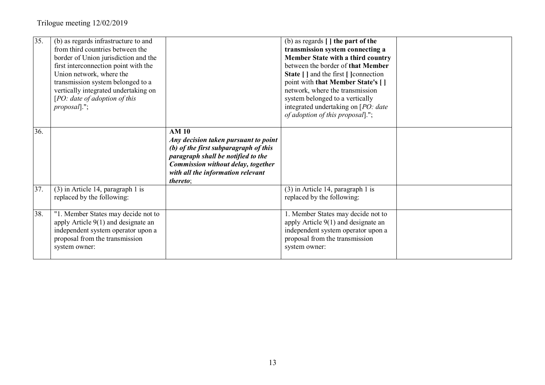| 35. | (b) as regards infrastructure to and<br>from third countries between the<br>border of Union jurisdiction and the<br>first interconnection point with the<br>Union network, where the<br>transmission system belonged to a<br>vertically integrated undertaking on<br>[PO: date of adoption of this]<br>$\textit{proposal}$ ."; |                                                                                                                                                                                                                            | (b) as regards $\lceil \cdot \rceil$ the part of the<br>transmission system connecting a<br>Member State with a third country<br>between the border of that Member<br>State [ ] and the first [ ] connection<br>point with that Member State's []<br>network, where the transmission<br>system belonged to a vertically<br>integrated undertaking on [PO: date<br>of adoption of this proposal]."; |  |
|-----|--------------------------------------------------------------------------------------------------------------------------------------------------------------------------------------------------------------------------------------------------------------------------------------------------------------------------------|----------------------------------------------------------------------------------------------------------------------------------------------------------------------------------------------------------------------------|----------------------------------------------------------------------------------------------------------------------------------------------------------------------------------------------------------------------------------------------------------------------------------------------------------------------------------------------------------------------------------------------------|--|
| 36. |                                                                                                                                                                                                                                                                                                                                | <b>AM 10</b><br>Any decision taken pursuant to point<br>(b) of the first subparagraph of this<br>paragraph shall be notified to the<br>Commission without delay, together<br>with all the information relevant<br>thereto; |                                                                                                                                                                                                                                                                                                                                                                                                    |  |
| 37. | $(3)$ in Article 14, paragraph 1 is<br>replaced by the following:                                                                                                                                                                                                                                                              |                                                                                                                                                                                                                            | (3) in Article 14, paragraph 1 is<br>replaced by the following:                                                                                                                                                                                                                                                                                                                                    |  |
| 38. | "1. Member States may decide not to<br>apply Article 9(1) and designate an<br>independent system operator upon a<br>proposal from the transmission<br>system owner:                                                                                                                                                            |                                                                                                                                                                                                                            | 1. Member States may decide not to<br>apply Article $9(1)$ and designate an<br>independent system operator upon a<br>proposal from the transmission<br>system owner:                                                                                                                                                                                                                               |  |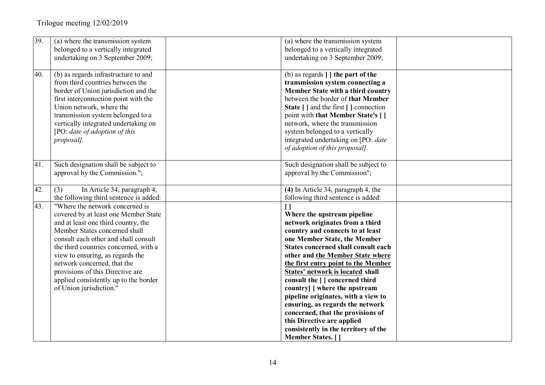| 39. | (a) where the transmission system<br>belonged to a vertically integrated                                                                                                                                                                                                                                                                                                                                    | (a) where the transmission system<br>belonged to a vertically integrated                                                                                                                                                                                                                                                                                                                                                                                                                                                                                                                     |  |
|-----|-------------------------------------------------------------------------------------------------------------------------------------------------------------------------------------------------------------------------------------------------------------------------------------------------------------------------------------------------------------------------------------------------------------|----------------------------------------------------------------------------------------------------------------------------------------------------------------------------------------------------------------------------------------------------------------------------------------------------------------------------------------------------------------------------------------------------------------------------------------------------------------------------------------------------------------------------------------------------------------------------------------------|--|
|     | undertaking on 3 September 2009;                                                                                                                                                                                                                                                                                                                                                                            | undertaking on 3 September 2009;                                                                                                                                                                                                                                                                                                                                                                                                                                                                                                                                                             |  |
| 40. | (b) as regards infrastructure to and<br>from third countries between the<br>border of Union jurisdiction and the<br>first interconnection point with the<br>Union network, where the<br>transmission system belonged to a<br>vertically integrated undertaking on<br>[PO: date of adoption of this<br>proposal].                                                                                            | (b) as regards $\lceil \cdot \rceil$ the part of the<br>transmission system connecting a<br>Member State with a third country<br>between the border of that Member<br>State [ ] and the first [ ] connection<br>point with that Member State's []<br>network, where the transmission<br>system belonged to a vertically<br>integrated undertaking on [PO: date<br>of adoption of this proposal].                                                                                                                                                                                             |  |
| 41. | Such designation shall be subject to<br>approval by the Commission.";                                                                                                                                                                                                                                                                                                                                       | Such designation shall be subject to<br>approval by the Commission";                                                                                                                                                                                                                                                                                                                                                                                                                                                                                                                         |  |
| 42. | In Article 34, paragraph 4,<br>(3)<br>the following third sentence is added:                                                                                                                                                                                                                                                                                                                                | (4) In Article 34, paragraph 4, the<br>following third sentence is added:                                                                                                                                                                                                                                                                                                                                                                                                                                                                                                                    |  |
| 43. | "Where the network concerned is<br>covered by at least one Member State<br>and at least one third country, the<br>Member States concerned shall<br>consult each other and shall consult<br>the third countries concerned, with a<br>view to ensuring, as regards the<br>network concerned, that the<br>provisions of this Directive are<br>applied consistently up to the border<br>of Union jurisdiction." | Where the upstream pipeline<br>network originates from a third<br>country and connects to at least<br>one Member State, the Member<br><b>States concerned shall consult each</b><br>other and the Member State where<br>the first entry point to the Member<br><b>States' network is located shall</b><br>consult the [ ] concerned third<br>country[] where the upstream<br>pipeline originates, with a view to<br>ensuring, as regards the network<br>concerned, that the provisions of<br>this Directive are applied<br>consistently in the territory of the<br><b>Member States.</b> [ ] |  |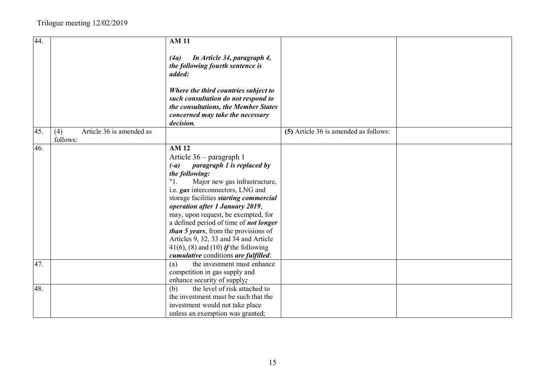| 44. |                                             | <b>AM11</b>                                                                                                                                                                                                                                                                                                                                                                                                                                                                                                                        |                                       |  |
|-----|---------------------------------------------|------------------------------------------------------------------------------------------------------------------------------------------------------------------------------------------------------------------------------------------------------------------------------------------------------------------------------------------------------------------------------------------------------------------------------------------------------------------------------------------------------------------------------------|---------------------------------------|--|
|     |                                             | In Article 34, paragraph 4,<br>(4a)<br>the following fourth sentence is<br>added:                                                                                                                                                                                                                                                                                                                                                                                                                                                  |                                       |  |
|     |                                             | Where the third countries subject to<br>such consultation do not respond to<br>the consultations, the Member States<br>concerned may take the necessary<br>decision.                                                                                                                                                                                                                                                                                                                                                               |                                       |  |
| 45. | Article 36 is amended as<br>(4)<br>follows: |                                                                                                                                                                                                                                                                                                                                                                                                                                                                                                                                    | (5) Article 36 is amended as follows: |  |
| 46. |                                             | <b>AM12</b><br>Article 36 – paragraph 1<br>paragraph 1 is replaced by<br>$(-a)$<br>the following:<br>"1.<br>Major new gas infrastructure,<br>i.e. gas interconnectors, LNG and<br>storage facilities <i>starting commercial</i><br>operation after 1 January 2019,<br>may, upon request, be exempted, for<br>a defined period of time of <i>not longer</i><br>than 5 years, from the provisions of<br>Articles 9, 32, 33 and 34 and Article<br>41(6), (8) and (10) <i>if</i> the following<br>cumulative conditions are fulfilled: |                                       |  |
| 47. |                                             | the investment must enhance<br>(a)<br>competition in gas supply and                                                                                                                                                                                                                                                                                                                                                                                                                                                                |                                       |  |
| 48. |                                             | enhance security of supply;<br>the level of risk attached to<br>(b)<br>the investment must be such that the<br>investment would not take place<br>unless an exemption was granted;                                                                                                                                                                                                                                                                                                                                                 |                                       |  |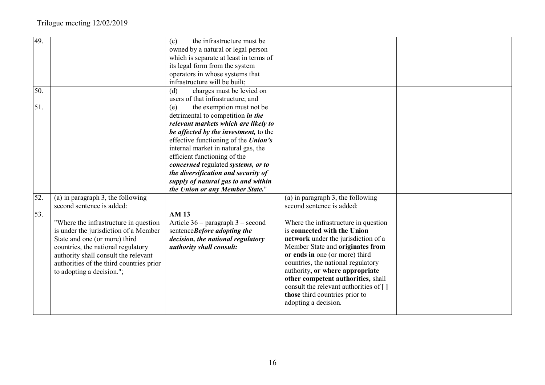| 49. |                                          | the infrastructure must be<br>(c)           |                                        |  |
|-----|------------------------------------------|---------------------------------------------|----------------------------------------|--|
|     |                                          | owned by a natural or legal person          |                                        |  |
|     |                                          | which is separate at least in terms of      |                                        |  |
|     |                                          | its legal form from the system              |                                        |  |
|     |                                          | operators in whose systems that             |                                        |  |
|     |                                          | infrastructure will be built;               |                                        |  |
| 50. |                                          | charges must be levied on<br>(d)            |                                        |  |
|     |                                          | users of that infrastructure; and           |                                        |  |
| 51. |                                          | the exemption must not be<br>(e)            |                                        |  |
|     |                                          | detrimental to competition in the           |                                        |  |
|     |                                          | relevant markets which are likely to        |                                        |  |
|     |                                          | be affected by the investment, to the       |                                        |  |
|     |                                          | effective functioning of the <i>Union's</i> |                                        |  |
|     |                                          | internal market in natural gas, the         |                                        |  |
|     |                                          | efficient functioning of the                |                                        |  |
|     |                                          | concerned regulated systems, or to          |                                        |  |
|     |                                          | the diversification and security of         |                                        |  |
|     |                                          | supply of natural gas to and within         |                                        |  |
|     |                                          | the Union or any Member State."             |                                        |  |
| 52. | (a) in paragraph $3$ , the following     |                                             | (a) in paragraph $3$ , the following   |  |
|     | second sentence is added:                |                                             | second sentence is added:              |  |
| 53. |                                          | <b>AM 13</b>                                |                                        |  |
|     | "Where the infrastructure in question    | Article $36$ – paragraph $3$ – second       | Where the infrastructure in question   |  |
|     | is under the jurisdiction of a Member    | sentenceBefore adopting the                 | is connected with the Union            |  |
|     | State and one (or more) third            | decision, the national regulatory           | network under the jurisdiction of a    |  |
|     | countries, the national regulatory       | authority shall consult:                    | Member State and originates from       |  |
|     | authority shall consult the relevant     |                                             | or ends in one (or more) third         |  |
|     | authorities of the third countries prior |                                             | countries, the national regulatory     |  |
|     | to adopting a decision.";                |                                             | authority, or where appropriate        |  |
|     |                                          |                                             | other competent authorities, shall     |  |
|     |                                          |                                             | consult the relevant authorities of [] |  |
|     |                                          |                                             | those third countries prior to         |  |
|     |                                          |                                             | adopting a decision.                   |  |
|     |                                          |                                             |                                        |  |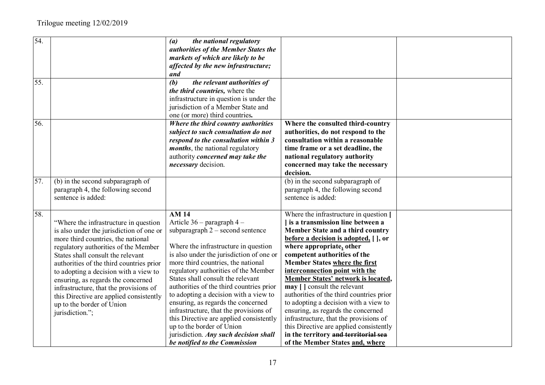| 54. |                                          | (a)<br>the national regulatory           |                                          |  |
|-----|------------------------------------------|------------------------------------------|------------------------------------------|--|
|     |                                          | authorities of the Member States the     |                                          |  |
|     |                                          | markets of which are likely to be        |                                          |  |
|     |                                          | affected by the new infrastructure;      |                                          |  |
|     |                                          | and                                      |                                          |  |
| 55. |                                          | (b)<br>the relevant authorities of       |                                          |  |
|     |                                          | the third countries, where the           |                                          |  |
|     |                                          | infrastructure in question is under the  |                                          |  |
|     |                                          | jurisdiction of a Member State and       |                                          |  |
|     |                                          | one (or more) third countries.           |                                          |  |
| 56. |                                          | Where the third country authorities      | Where the consulted third-country        |  |
|     |                                          | subject to such consultation do not      | authorities, do not respond to the       |  |
|     |                                          | respond to the consultation within 3     | consultation within a reasonable         |  |
|     |                                          | <i>months</i> , the national regulatory  | time frame or a set deadline, the        |  |
|     |                                          | authority concerned may take the         | national regulatory authority            |  |
|     |                                          | necessary decision.                      | concerned may take the necessary         |  |
|     |                                          |                                          | decision.                                |  |
| 57. | (b) in the second subparagraph of        |                                          | (b) in the second subparagraph of        |  |
|     | paragraph 4, the following second        |                                          | paragraph 4, the following second        |  |
|     | sentence is added:                       |                                          | sentence is added:                       |  |
|     |                                          |                                          |                                          |  |
| 58. |                                          | <b>AM14</b>                              | Where the infrastructure in question [   |  |
|     | "Where the infrastructure in question    | Article 36 - paragraph 4 -               | I is a transmission line between a       |  |
|     | is also under the jurisdiction of one or | subparagraph $2$ – second sentence       | Member State and a third country         |  |
|     | more third countries, the national       |                                          | before a decision is adopted, [ ], or    |  |
|     | regulatory authorities of the Member     | Where the infrastructure in question     | where appropriate, other                 |  |
|     | States shall consult the relevant        | is also under the jurisdiction of one or | competent authorities of the             |  |
|     | authorities of the third countries prior | more third countries, the national       | <b>Member States where the first</b>     |  |
|     | to adopting a decision with a view to    | regulatory authorities of the Member     | interconnection point with the           |  |
|     | ensuring, as regards the concerned       | States shall consult the relevant        | Member States' network is located,       |  |
|     | infrastructure, that the provisions of   | authorities of the third countries prior | may [ ] consult the relevant             |  |
|     | this Directive are applied consistently  | to adopting a decision with a view to    | authorities of the third countries prior |  |
|     | up to the border of Union                | ensuring, as regards the concerned       | to adopting a decision with a view to    |  |
|     | jurisdiction.";                          | infrastructure, that the provisions of   | ensuring, as regards the concerned       |  |
|     |                                          | this Directive are applied consistently  | infrastructure, that the provisions of   |  |
|     |                                          | up to the border of Union                | this Directive are applied consistently  |  |
|     |                                          | jurisdiction. Any such decision shall    | in the territory and territorial sea     |  |
|     |                                          | be notified to the Commission            | of the Member States and, where          |  |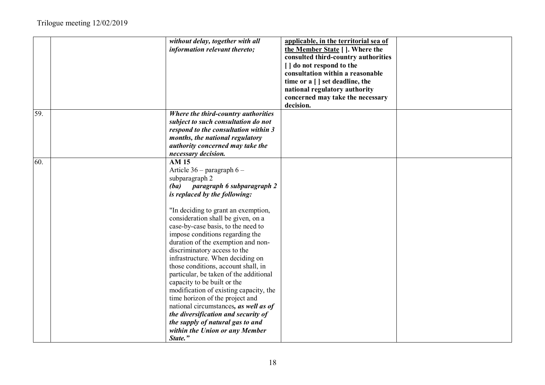|     | without delay, together with all       | applicable, in the territorial sea of |  |
|-----|----------------------------------------|---------------------------------------|--|
|     | information relevant thereto;          | the Member State [ ]. Where the       |  |
|     |                                        | consulted third-country authorities   |  |
|     |                                        | [ ] do not respond to the             |  |
|     |                                        | consultation within a reasonable      |  |
|     |                                        | time or a [ ] set deadline, the       |  |
|     |                                        | national regulatory authority         |  |
|     |                                        | concerned may take the necessary      |  |
|     |                                        | decision.                             |  |
| 59. | Where the third-country authorities    |                                       |  |
|     | subject to such consultation do not    |                                       |  |
|     | respond to the consultation within 3   |                                       |  |
|     | months, the national regulatory        |                                       |  |
|     | authority concerned may take the       |                                       |  |
| 60. | necessary decision.<br><b>AM15</b>     |                                       |  |
|     | Article 36 - paragraph 6 -             |                                       |  |
|     | subparagraph 2                         |                                       |  |
|     | paragraph 6 subparagraph 2<br>(ba)     |                                       |  |
|     | is replaced by the following:          |                                       |  |
|     |                                        |                                       |  |
|     | "In deciding to grant an exemption,    |                                       |  |
|     | consideration shall be given, on a     |                                       |  |
|     | case-by-case basis, to the need to     |                                       |  |
|     | impose conditions regarding the        |                                       |  |
|     | duration of the exemption and non-     |                                       |  |
|     | discriminatory access to the           |                                       |  |
|     | infrastructure. When deciding on       |                                       |  |
|     | those conditions, account shall, in    |                                       |  |
|     | particular, be taken of the additional |                                       |  |
|     | capacity to be built or the            |                                       |  |
|     | modification of existing capacity, the |                                       |  |
|     | time horizon of the project and        |                                       |  |
|     | national circumstances, as well as of  |                                       |  |
|     | the diversification and security of    |                                       |  |
|     | the supply of natural gas to and       |                                       |  |
|     | within the Union or any Member         |                                       |  |
|     | State."                                |                                       |  |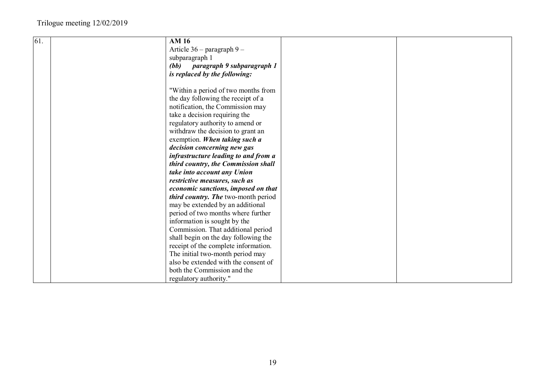| 61. | <b>AM 16</b>                                                                                                                                                                                                                                            |  |
|-----|---------------------------------------------------------------------------------------------------------------------------------------------------------------------------------------------------------------------------------------------------------|--|
|     | Article $36$ – paragraph $9$ –                                                                                                                                                                                                                          |  |
|     | subparagraph 1                                                                                                                                                                                                                                          |  |
|     | paragraph 9 subparagraph 1<br>(bb)                                                                                                                                                                                                                      |  |
|     | is replaced by the following:                                                                                                                                                                                                                           |  |
|     |                                                                                                                                                                                                                                                         |  |
|     | "Within a period of two months from                                                                                                                                                                                                                     |  |
|     | the day following the receipt of a                                                                                                                                                                                                                      |  |
|     | notification, the Commission may                                                                                                                                                                                                                        |  |
|     | take a decision requiring the                                                                                                                                                                                                                           |  |
|     | regulatory authority to amend or                                                                                                                                                                                                                        |  |
|     | withdraw the decision to grant an                                                                                                                                                                                                                       |  |
|     | exemption. When taking such a                                                                                                                                                                                                                           |  |
|     | decision concerning new gas                                                                                                                                                                                                                             |  |
|     | infrastructure leading to and from a                                                                                                                                                                                                                    |  |
|     | third country, the Commission shall                                                                                                                                                                                                                     |  |
|     | take into account any Union                                                                                                                                                                                                                             |  |
|     | restrictive measures, such as                                                                                                                                                                                                                           |  |
|     | economic sanctions, imposed on that                                                                                                                                                                                                                     |  |
|     | third country. The two-month period                                                                                                                                                                                                                     |  |
|     | may be extended by an additional                                                                                                                                                                                                                        |  |
|     | period of two months where further                                                                                                                                                                                                                      |  |
|     | information is sought by the                                                                                                                                                                                                                            |  |
|     |                                                                                                                                                                                                                                                         |  |
|     |                                                                                                                                                                                                                                                         |  |
|     |                                                                                                                                                                                                                                                         |  |
|     |                                                                                                                                                                                                                                                         |  |
|     |                                                                                                                                                                                                                                                         |  |
|     |                                                                                                                                                                                                                                                         |  |
|     |                                                                                                                                                                                                                                                         |  |
|     | Commission. That additional period<br>shall begin on the day following the<br>receipt of the complete information.<br>The initial two-month period may<br>also be extended with the consent of<br>both the Commission and the<br>regulatory authority." |  |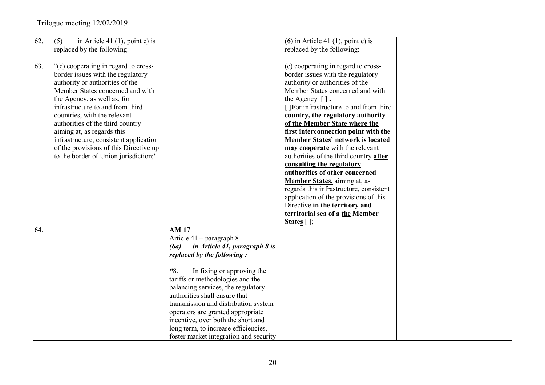| 62. | (5)<br>in Article 41 $(1)$ , point c) is<br>replaced by the following:                                                                                                                                                                                                                                                                                                                                                                             |                                                                                                                                                                                                                                                                                                                                                                                                                                                                      | (6) in Article 41 (1), point c) is<br>replaced by the following:                                                                                                                                                                                                                                                                                                                                                                                                                                                                                                                                                                                                                                                                                 |  |
|-----|----------------------------------------------------------------------------------------------------------------------------------------------------------------------------------------------------------------------------------------------------------------------------------------------------------------------------------------------------------------------------------------------------------------------------------------------------|----------------------------------------------------------------------------------------------------------------------------------------------------------------------------------------------------------------------------------------------------------------------------------------------------------------------------------------------------------------------------------------------------------------------------------------------------------------------|--------------------------------------------------------------------------------------------------------------------------------------------------------------------------------------------------------------------------------------------------------------------------------------------------------------------------------------------------------------------------------------------------------------------------------------------------------------------------------------------------------------------------------------------------------------------------------------------------------------------------------------------------------------------------------------------------------------------------------------------------|--|
| 63. | "(c) cooperating in regard to cross-<br>border issues with the regulatory<br>authority or authorities of the<br>Member States concerned and with<br>the Agency, as well as, for<br>infrastructure to and from third<br>countries, with the relevant<br>authorities of the third country<br>aiming at, as regards this<br>infrastructure, consistent application<br>of the provisions of this Directive up<br>to the border of Union jurisdiction;" |                                                                                                                                                                                                                                                                                                                                                                                                                                                                      | (c) cooperating in regard to cross-<br>border issues with the regulatory<br>authority or authorities of the<br>Member States concerned and with<br>the Agency $\lceil \cdot \rceil$ .<br>[ ]For infrastructure to and from third<br>country, the regulatory authority<br>of the Member State where the<br>first interconnection point with the<br><b>Member States' network is located</b><br>may cooperate with the relevant<br>authorities of the third country after<br>consulting the regulatory<br>authorities of other concerned<br>Member States, aiming at, as<br>regards this infrastructure, consistent<br>application of the provisions of this<br>Directive in the territory and<br>territorial sea of a-the Member<br>States $[]$ ; |  |
| 64. |                                                                                                                                                                                                                                                                                                                                                                                                                                                    | <b>AM17</b><br>Article $41$ – paragraph 8<br>in Article 41, paragraph 8 is<br>(6a)<br>replaced by the following:<br>8.<br>In fixing or approving the<br>tariffs or methodologies and the<br>balancing services, the regulatory<br>authorities shall ensure that<br>transmission and distribution system<br>operators are granted appropriate<br>incentive, over both the short and<br>long term, to increase efficiencies,<br>foster market integration and security |                                                                                                                                                                                                                                                                                                                                                                                                                                                                                                                                                                                                                                                                                                                                                  |  |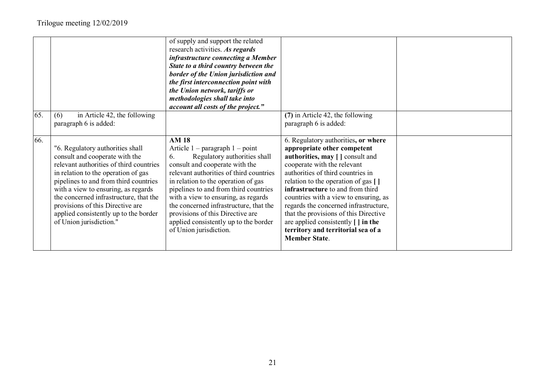|     |                                                                                                                                                                                                                                                                                                                                                                                        | of supply and support the related<br>research activities. As regards<br>infrastructure connecting a Member<br>State to a third country between the<br>border of the Union jurisdiction and<br>the first interconnection point with<br>the Union network, tariffs or<br>methodologies shall take into<br>account all costs of the project."                                                                                                    |                                                                                                                                                                                                                                                                                                                                                                                                                                                                                                      |  |
|-----|----------------------------------------------------------------------------------------------------------------------------------------------------------------------------------------------------------------------------------------------------------------------------------------------------------------------------------------------------------------------------------------|-----------------------------------------------------------------------------------------------------------------------------------------------------------------------------------------------------------------------------------------------------------------------------------------------------------------------------------------------------------------------------------------------------------------------------------------------|------------------------------------------------------------------------------------------------------------------------------------------------------------------------------------------------------------------------------------------------------------------------------------------------------------------------------------------------------------------------------------------------------------------------------------------------------------------------------------------------------|--|
| 65. | in Article 42, the following<br>(6)<br>paragraph 6 is added:                                                                                                                                                                                                                                                                                                                           |                                                                                                                                                                                                                                                                                                                                                                                                                                               | (7) in Article 42, the following<br>paragraph 6 is added:                                                                                                                                                                                                                                                                                                                                                                                                                                            |  |
| 66. | "6. Regulatory authorities shall<br>consult and cooperate with the<br>relevant authorities of third countries<br>in relation to the operation of gas<br>pipelines to and from third countries<br>with a view to ensuring, as regards<br>the concerned infrastructure, that the<br>provisions of this Directive are<br>applied consistently up to the border<br>of Union jurisdiction." | <b>AM18</b><br>Article $1$ – paragraph $1$ – point<br>Regulatory authorities shall<br>6.<br>consult and cooperate with the<br>relevant authorities of third countries<br>in relation to the operation of gas<br>pipelines to and from third countries<br>with a view to ensuring, as regards<br>the concerned infrastructure, that the<br>provisions of this Directive are<br>applied consistently up to the border<br>of Union jurisdiction. | 6. Regulatory authorities, or where<br>appropriate other competent<br>authorities, may [] consult and<br>cooperate with the relevant<br>authorities of third countries in<br>relation to the operation of gas []<br>infrastructure to and from third<br>countries with a view to ensuring, as<br>regards the concerned infrastructure,<br>that the provisions of this Directive<br>are applied consistently $\vert \cdot \vert$ in the<br>territory and territorial sea of a<br><b>Member State.</b> |  |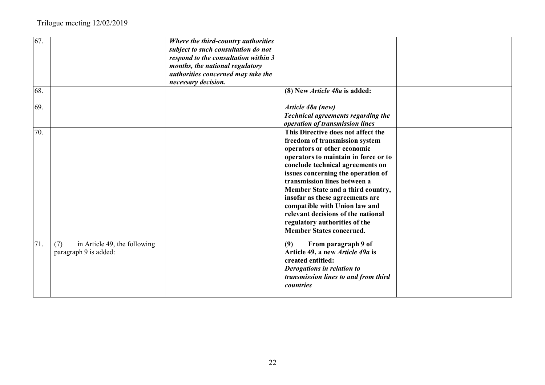| 67.<br>68. |                                                              | Where the third-country authorities<br>subject to such consultation do not<br>respond to the consultation within 3<br>months, the national regulatory<br>authorities concerned may take the<br>necessary decision. | (8) New Article 48a is added:                                                                                                                                                                                                                                                                                                                                                                                                                                            |  |
|------------|--------------------------------------------------------------|--------------------------------------------------------------------------------------------------------------------------------------------------------------------------------------------------------------------|--------------------------------------------------------------------------------------------------------------------------------------------------------------------------------------------------------------------------------------------------------------------------------------------------------------------------------------------------------------------------------------------------------------------------------------------------------------------------|--|
| 69.        |                                                              |                                                                                                                                                                                                                    | Article 48a (new)<br>Technical agreements regarding the<br>operation of transmission lines                                                                                                                                                                                                                                                                                                                                                                               |  |
| 70.        |                                                              |                                                                                                                                                                                                                    | This Directive does not affect the<br>freedom of transmission system<br>operators or other economic<br>operators to maintain in force or to<br>conclude technical agreements on<br>issues concerning the operation of<br>transmission lines between a<br>Member State and a third country,<br>insofar as these agreements are<br>compatible with Union law and<br>relevant decisions of the national<br>regulatory authorities of the<br><b>Member States concerned.</b> |  |
| 71.        | in Article 49, the following<br>(7)<br>paragraph 9 is added: |                                                                                                                                                                                                                    | From paragraph 9 of<br>(9)<br>Article 49, a new Article 49a is<br>created entitled:<br>Derogations in relation to<br>transmission lines to and from third<br>countries                                                                                                                                                                                                                                                                                                   |  |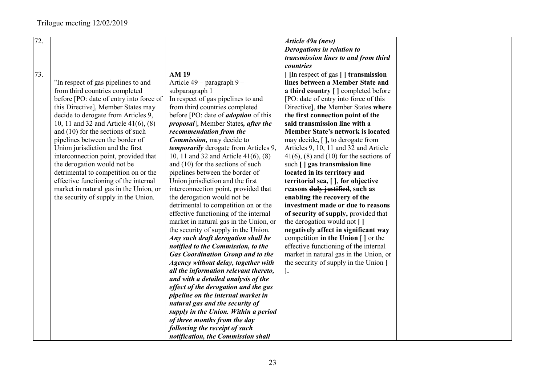| 72. |                                           |                                              | Article 49a (new)                                   |  |
|-----|-------------------------------------------|----------------------------------------------|-----------------------------------------------------|--|
|     |                                           |                                              | Derogations in relation to                          |  |
|     |                                           |                                              | transmission lines to and from third                |  |
|     |                                           |                                              | countries                                           |  |
|     |                                           |                                              |                                                     |  |
| 73. |                                           | <b>AM 19</b>                                 | [ ]In respect of gas [ ] transmission               |  |
|     | "In respect of gas pipelines to and       | Article 49 – paragraph 9 –                   | lines between a Member State and                    |  |
|     | from third countries completed            | subparagraph 1                               | a third country [ ] completed before                |  |
|     | before [PO: date of entry into force of   | In respect of gas pipelines to and           | [PO: date of entry into force of this               |  |
|     | this Directive], Member States may        | from third countries completed               | Directive], the Member States where                 |  |
|     | decide to derogate from Articles 9,       | before [PO: date of <i>adoption</i> of this  | the first connection point of the                   |  |
|     | 10, 11 and 32 and Article $41(6)$ , $(8)$ | <i>proposal</i> ], Member States, after the  | said transmission line with a                       |  |
|     | and $(10)$ for the sections of such       | recommendation from the                      | <b>Member State's network is located</b>            |  |
|     | pipelines between the border of           | Commission, may decide to                    | may decide, [ ], to derogate from                   |  |
|     | Union jurisdiction and the first          | <i>temporarily</i> derogate from Articles 9, | Articles 9, 10, 11 and 32 and Article               |  |
|     | interconnection point, provided that      | 10, 11 and 32 and Article $41(6)$ , $(8)$    | $41(6)$ , (8) and (10) for the sections of          |  |
|     | the derogation would not be               | and $(10)$ for the sections of such          | such [] gas transmission line                       |  |
|     | detrimental to competition on or the      | pipelines between the border of              | located in its territory and                        |  |
|     | effective functioning of the internal     | Union jurisdiction and the first             | territorial sea, [], for objective                  |  |
|     | market in natural gas in the Union, or    | interconnection point, provided that         | reasons duly justified, such as                     |  |
|     | the security of supply in the Union.      | the derogation would not be                  | enabling the recovery of the                        |  |
|     |                                           | detrimental to competition on or the         | investment made or due to reasons                   |  |
|     |                                           | effective functioning of the internal        | of security of supply, provided that                |  |
|     |                                           | market in natural gas in the Union, or       | the derogation would not []                         |  |
|     |                                           | the security of supply in the Union.         | negatively affect in significant way                |  |
|     |                                           | Any such draft derogation shall be           | competition in the Union $\vert \cdot \vert$ or the |  |
|     |                                           | notified to the Commission, to the           | effective functioning of the internal               |  |
|     |                                           | <b>Gas Coordination Group and to the</b>     | market in natural gas in the Union, or              |  |
|     |                                           | Agency without delay, together with          | the security of supply in the Union [               |  |
|     |                                           | all the information relevant thereto,        | $\cdot$                                             |  |
|     |                                           | and with a detailed analysis of the          |                                                     |  |
|     |                                           | effect of the derogation and the gas         |                                                     |  |
|     |                                           | pipeline on the internal market in           |                                                     |  |
|     |                                           | natural gas and the security of              |                                                     |  |
|     |                                           | supply in the Union. Within a period         |                                                     |  |
|     |                                           | of three months from the day                 |                                                     |  |
|     |                                           | following the receipt of such                |                                                     |  |
|     |                                           |                                              |                                                     |  |
|     |                                           | notification, the Commission shall           |                                                     |  |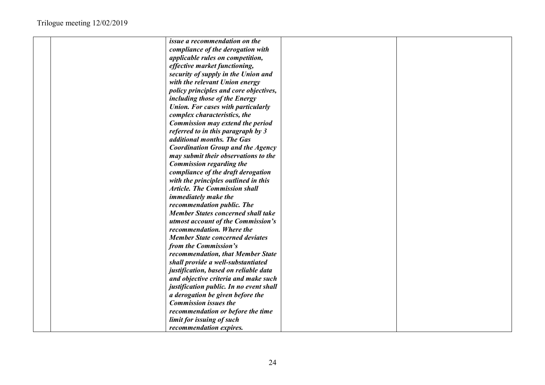| issue a recommendation on the             |  |
|-------------------------------------------|--|
| compliance of the derogation with         |  |
| applicable rules on competition,          |  |
| effective market functioning,             |  |
| security of supply in the Union and       |  |
| with the relevant Union energy            |  |
| policy principles and core objectives,    |  |
| including those of the Energy             |  |
| <b>Union. For cases with particularly</b> |  |
| complex characteristics, the              |  |
| Commission may extend the period          |  |
| referred to in this paragraph by 3        |  |
| additional months. The Gas                |  |
| <b>Coordination Group and the Agency</b>  |  |
| may submit their observations to the      |  |
| Commission regarding the                  |  |
| compliance of the draft derogation        |  |
| with the principles outlined in this      |  |
| <b>Article. The Commission shall</b>      |  |
| <i>immediately make the</i>               |  |
| recommendation public. The                |  |
| <b>Member States concerned shall take</b> |  |
| utmost account of the Commission's        |  |
| recommendation. Where the                 |  |
| <b>Member State concerned deviates</b>    |  |
| from the Commission's                     |  |
| recommendation, that Member State         |  |
| shall provide a well-substantiated        |  |
| justification, based on reliable data     |  |
| and objective criteria and make such      |  |
| justification public. In no event shall   |  |
| a derogation be given before the          |  |
| <b>Commission issues the</b>              |  |
| recommendation or before the time         |  |
| limit for issuing of such                 |  |
| recommendation expires.                   |  |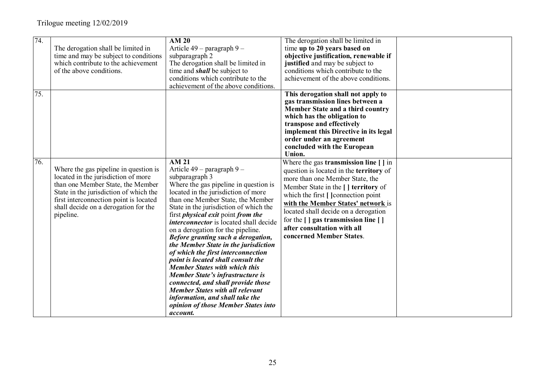| 74. | The derogation shall be limited in<br>time and may be subject to conditions<br>which contribute to the achievement<br>of the above conditions.                                                                                                             | AM <sub>20</sub><br>Article 49 – paragraph 9 –<br>subparagraph 2<br>The derogation shall be limited in<br>time and <i>shall</i> be subject to<br>conditions which contribute to the<br>achievement of the above conditions.                                                                                                                                                                                                                                                                                                                                                                                                                                                                                                                                                                   | The derogation shall be limited in<br>time up to 20 years based on<br>objective justification, renewable if<br>justified and may be subject to<br>conditions which contribute to the<br>achievement of the above conditions.                                                                                                                                                                                               |  |
|-----|------------------------------------------------------------------------------------------------------------------------------------------------------------------------------------------------------------------------------------------------------------|-----------------------------------------------------------------------------------------------------------------------------------------------------------------------------------------------------------------------------------------------------------------------------------------------------------------------------------------------------------------------------------------------------------------------------------------------------------------------------------------------------------------------------------------------------------------------------------------------------------------------------------------------------------------------------------------------------------------------------------------------------------------------------------------------|----------------------------------------------------------------------------------------------------------------------------------------------------------------------------------------------------------------------------------------------------------------------------------------------------------------------------------------------------------------------------------------------------------------------------|--|
| 75. |                                                                                                                                                                                                                                                            |                                                                                                                                                                                                                                                                                                                                                                                                                                                                                                                                                                                                                                                                                                                                                                                               | This derogation shall not apply to<br>gas transmission lines between a<br>Member State and a third country<br>which has the obligation to<br>transpose and effectively<br>implement this Directive in its legal<br>order under an agreement<br>concluded with the European<br>Union.                                                                                                                                       |  |
| 76. | Where the gas pipeline in question is<br>located in the jurisdiction of more<br>than one Member State, the Member<br>State in the jurisdiction of which the<br>first interconnection point is located<br>shall decide on a derogation for the<br>pipeline. | $\overline{AM21}$<br>Article 49 - paragraph 9 -<br>subparagraph 3<br>Where the gas pipeline in question is<br>located in the jurisdiction of more<br>than one Member State, the Member<br>State in the jurisdiction of which the<br>first <i>physical exit</i> point <i>from the</i><br><i>interconnector</i> is located shall decide<br>on a derogation for the pipeline.<br>Before granting such a derogation,<br>the Member State in the jurisdiction<br>of which the first interconnection<br>point is located shall consult the<br><b>Member States with which this</b><br><b>Member State's infrastructure is</b><br>connected, and shall provide those<br><b>Member States with all relevant</b><br>information, and shall take the<br>opinion of those Member States into<br>account. | Where the gas transmission line [ ] in<br>question is located in the territory of<br>more than one Member State, the<br>Member State in the [ ] territory of<br>which the first [ ] connection point<br>with the Member States' network is<br>located shall decide on a derogation<br>for the $\lceil \cdot \rceil$ gas transmission line $\lceil \cdot \rceil$<br>after consultation with all<br>concerned Member States. |  |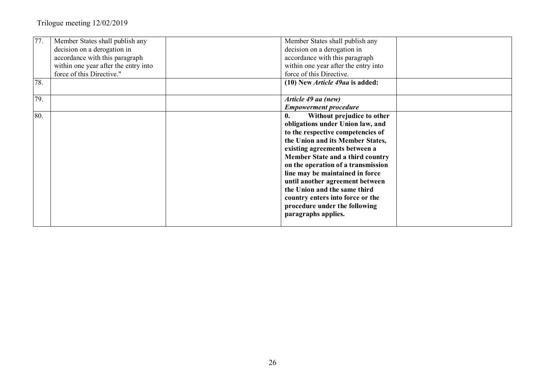| 77. | Member States shall publish any      | Member States shall publish any              |
|-----|--------------------------------------|----------------------------------------------|
|     | decision on a derogation in          | decision on a derogation in                  |
|     | accordance with this paragraph       | accordance with this paragraph               |
|     | within one year after the entry into | within one year after the entry into         |
|     | force of this Directive."            | force of this Directive.                     |
| 78. |                                      | (10) New <i>Article 49aa</i> is added:       |
| 79. |                                      | Article 49 aa (new)                          |
|     |                                      | <b>Empowerment procedure</b>                 |
| 80. |                                      | Without prejudice to other<br>$\mathbf{0}$ . |
|     |                                      | obligations under Union law, and             |
|     |                                      | to the respective competencies of            |
|     |                                      | the Union and its Member States,             |
|     |                                      | existing agreements between a                |
|     |                                      | Member State and a third country             |
|     |                                      | on the operation of a transmission           |
|     |                                      | line may be maintained in force              |
|     |                                      | until another agreement between              |
|     |                                      | the Union and the same third                 |
|     |                                      | country enters into force or the             |
|     |                                      | procedure under the following                |
|     |                                      | paragraphs applies.                          |
|     |                                      |                                              |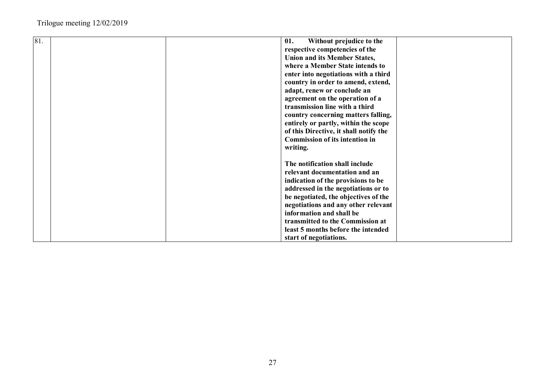| 81. |  | 01.<br>Without prejudice to the        |  |
|-----|--|----------------------------------------|--|
|     |  | respective competencies of the         |  |
|     |  | <b>Union and its Member States,</b>    |  |
|     |  | where a Member State intends to        |  |
|     |  | enter into negotiations with a third   |  |
|     |  | country in order to amend, extend,     |  |
|     |  | adapt, renew or conclude an            |  |
|     |  | agreement on the operation of a        |  |
|     |  | transmission line with a third         |  |
|     |  | country concerning matters falling,    |  |
|     |  | entirely or partly, within the scope   |  |
|     |  | of this Directive, it shall notify the |  |
|     |  | <b>Commission of its intention in</b>  |  |
|     |  | writing.                               |  |
|     |  |                                        |  |
|     |  | The notification shall include         |  |
|     |  | relevant documentation and an          |  |
|     |  | indication of the provisions to be     |  |
|     |  | addressed in the negotiations or to    |  |
|     |  | be negotiated, the objectives of the   |  |
|     |  | negotiations and any other relevant    |  |
|     |  | information and shall be               |  |
|     |  | transmitted to the Commission at       |  |
|     |  | least 5 months before the intended     |  |
|     |  | start of negotiations.                 |  |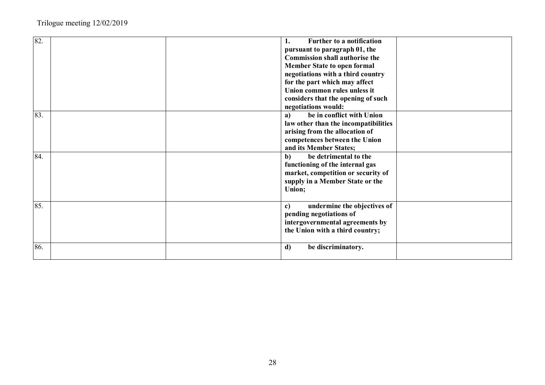| 82. |  | Further to a notification             |  |
|-----|--|---------------------------------------|--|
|     |  | pursuant to paragraph 01, the         |  |
|     |  | <b>Commission shall authorise the</b> |  |
|     |  | <b>Member State to open formal</b>    |  |
|     |  | negotiations with a third country     |  |
|     |  | for the part which may affect         |  |
|     |  | Union common rules unless it          |  |
|     |  | considers that the opening of such    |  |
|     |  | negotiations would:                   |  |
| 83. |  | be in conflict with Union<br>a)       |  |
|     |  | law other than the incompatibilities  |  |
|     |  | arising from the allocation of        |  |
|     |  | competences between the Union         |  |
|     |  | and its Member States;                |  |
| 84. |  | be detrimental to the<br>$\mathbf{b}$ |  |
|     |  | functioning of the internal gas       |  |
|     |  | market, competition or security of    |  |
|     |  | supply in a Member State or the       |  |
|     |  | Union;                                |  |
|     |  |                                       |  |
| 85. |  | undermine the objectives of<br>c)     |  |
|     |  | pending negotiations of               |  |
|     |  | intergovernmental agreements by       |  |
|     |  |                                       |  |
|     |  | the Union with a third country;       |  |
| 86. |  |                                       |  |
|     |  | d)<br>be discriminatory.              |  |
|     |  |                                       |  |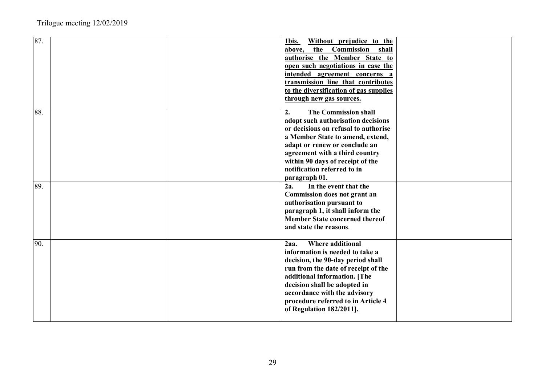| 87. | 1bis.<br>Without prejudice to the      |  |
|-----|----------------------------------------|--|
|     | the Commission<br>shall<br>above,      |  |
|     | authorise the Member State to          |  |
|     | open such negotiations in case the     |  |
|     | intended agreement concerns a          |  |
|     | transmission line that contributes     |  |
|     | to the diversification of gas supplies |  |
|     | through new gas sources.               |  |
| 88. | The Commission shall<br>2.             |  |
|     | adopt such authorisation decisions     |  |
|     | or decisions on refusal to authorise   |  |
|     | a Member State to amend, extend,       |  |
|     | adapt or renew or conclude an          |  |
|     | agreement with a third country         |  |
|     | within 90 days of receipt of the       |  |
|     | notification referred to in            |  |
|     |                                        |  |
| 89. | paragraph 01.                          |  |
|     | In the event that the<br>2a.           |  |
|     | Commission does not grant an           |  |
|     | authorisation pursuant to              |  |
|     | paragraph 1, it shall inform the       |  |
|     | <b>Member State concerned thereof</b>  |  |
|     | and state the reasons.                 |  |
| 90. | <b>Where additional</b><br>2aa.        |  |
|     | information is needed to take a        |  |
|     | decision, the 90-day period shall      |  |
|     | run from the date of receipt of the    |  |
|     | additional information. [The           |  |
|     | decision shall be adopted in           |  |
|     | accordance with the advisory           |  |
|     | procedure referred to in Article 4     |  |
|     | of Regulation 182/2011].               |  |
|     |                                        |  |
|     |                                        |  |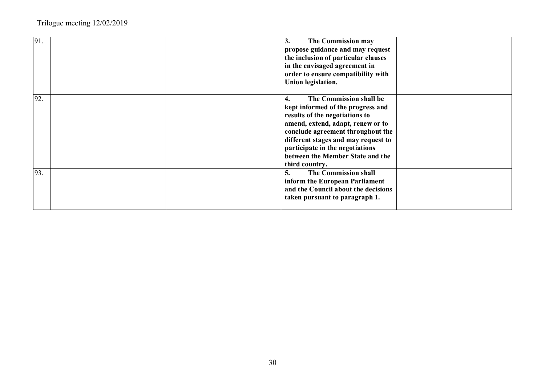| 91.  | The Commission may<br>3.<br>propose guidance and may request<br>the inclusion of particular clauses<br>in the envisaged agreement in<br>order to ensure compatibility with<br>Union legislation.                                                                                                               |
|------|----------------------------------------------------------------------------------------------------------------------------------------------------------------------------------------------------------------------------------------------------------------------------------------------------------------|
| 192. | The Commission shall be<br>4.<br>kept informed of the progress and<br>results of the negotiations to<br>amend, extend, adapt, renew or to<br>conclude agreement throughout the<br>different stages and may request to<br>participate in the negotiations<br>between the Member State and the<br>third country. |
| 93.  | The Commission shall<br>5.<br>inform the European Parliament<br>and the Council about the decisions<br>taken pursuant to paragraph 1.                                                                                                                                                                          |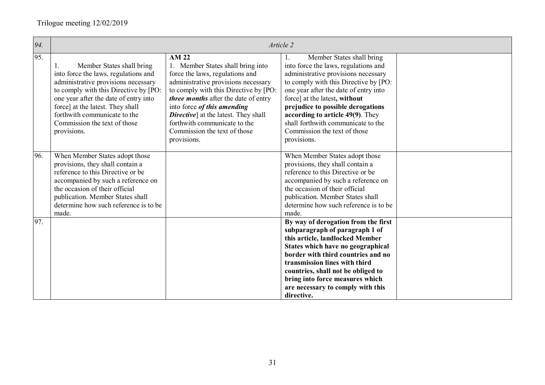| 94. | Article 2                                                                                                                                                                                                                                                                                                           |                                                                                                                                                                                                                                                                                                                                                                            |                                                                                                                                                                                                                                                                                                                                                                                                 |  |
|-----|---------------------------------------------------------------------------------------------------------------------------------------------------------------------------------------------------------------------------------------------------------------------------------------------------------------------|----------------------------------------------------------------------------------------------------------------------------------------------------------------------------------------------------------------------------------------------------------------------------------------------------------------------------------------------------------------------------|-------------------------------------------------------------------------------------------------------------------------------------------------------------------------------------------------------------------------------------------------------------------------------------------------------------------------------------------------------------------------------------------------|--|
| 95. | Member States shall bring<br>1.<br>into force the laws, regulations and<br>administrative provisions necessary<br>to comply with this Directive by [PO:<br>one year after the date of entry into<br>force] at the latest. They shall<br>forthwith communicate to the<br>Commission the text of those<br>provisions. | <b>AM 22</b><br>1. Member States shall bring into<br>force the laws, regulations and<br>administrative provisions necessary<br>to comply with this Directive by [PO:<br>three months after the date of entry<br>into force of this amending<br><b>Directive</b> ] at the latest. They shall<br>forthwith communicate to the<br>Commission the text of those<br>provisions. | Member States shall bring<br>1.<br>into force the laws, regulations and<br>administrative provisions necessary<br>to comply with this Directive by [PO:<br>one year after the date of entry into<br>force] at the latest, without<br>prejudice to possible derogations<br>according to article 49(9). They<br>shall forthwith communicate to the<br>Commission the text of those<br>provisions. |  |
| 96. | When Member States adopt those<br>provisions, they shall contain a<br>reference to this Directive or be<br>accompanied by such a reference on<br>the occasion of their official<br>publication. Member States shall<br>determine how such reference is to be<br>made.                                               |                                                                                                                                                                                                                                                                                                                                                                            | When Member States adopt those<br>provisions, they shall contain a<br>reference to this Directive or be<br>accompanied by such a reference on<br>the occasion of their official<br>publication. Member States shall<br>determine how such reference is to be<br>made.                                                                                                                           |  |
| 97. |                                                                                                                                                                                                                                                                                                                     |                                                                                                                                                                                                                                                                                                                                                                            | By way of derogation from the first<br>subparagraph of paragraph 1 of<br>this article, landlocked Member<br>States which have no geographical<br>border with third countries and no<br>transmission lines with third<br>countries, shall not be obliged to<br>bring into force measures which<br>are necessary to comply with this<br>directive.                                                |  |